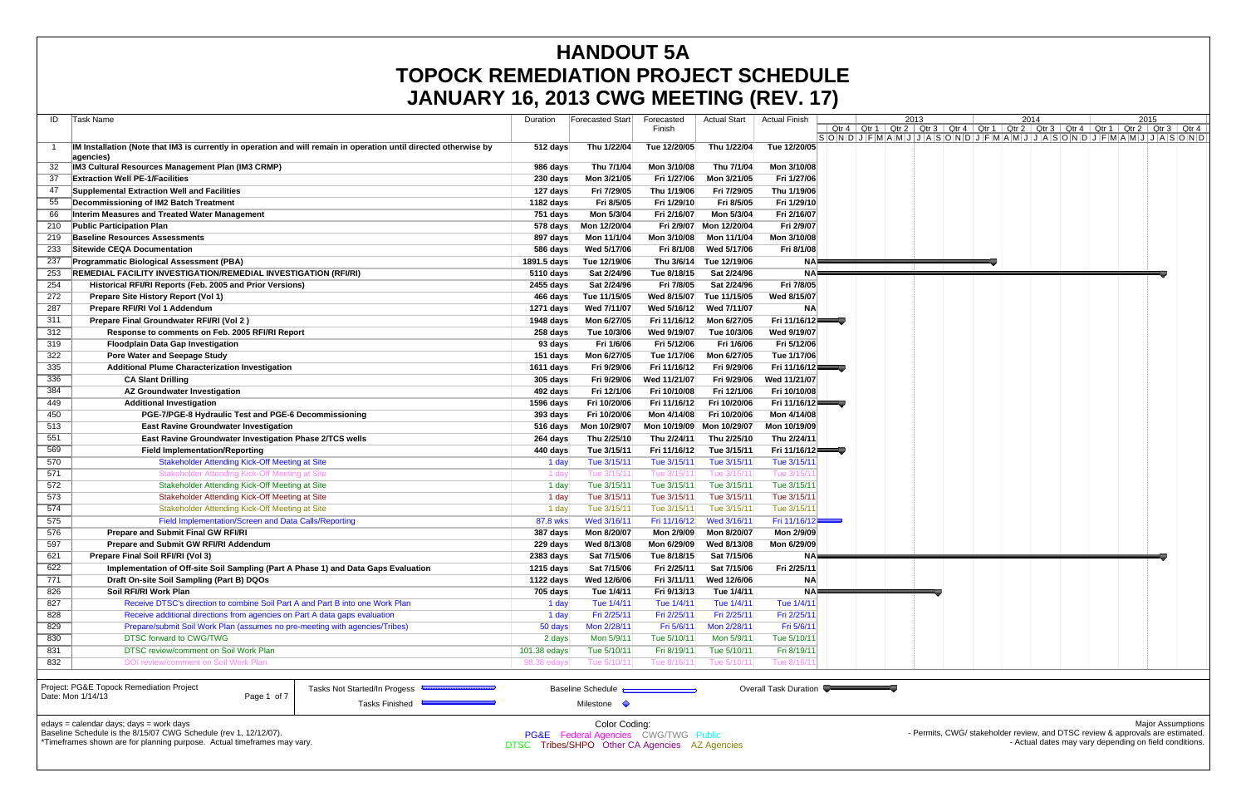|     | <b>JANUARY 16, 2013 CWG MEETING (REV. 17)</b>                                                                                  |              |                                                 |              |                     |                       |      |                                                                                                       |                          |
|-----|--------------------------------------------------------------------------------------------------------------------------------|--------------|-------------------------------------------------|--------------|---------------------|-----------------------|------|-------------------------------------------------------------------------------------------------------|--------------------------|
| ID  | Task Name                                                                                                                      | Duration     | Forecasted Start                                | Forecasted   | <b>Actual Start</b> | Actual Finish         | 2013 | 2014                                                                                                  | 2015                     |
|     |                                                                                                                                |              |                                                 | Finish       |                     |                       |      | Qtr 4   Qtr 1   Qtr 2   Qtr 3   Qtr 4   Qtr 1   Qtr 2   Qtr 3   Qtr 4   Qtr 1   Qtr 2   Qtr 3   Qtr 4 |                          |
|     | IM Installation (Note that IM3 is currently in operation and will remain in operation until directed otherwise by<br>agencies) | 512 days     | Thu 1/22/04                                     | Tue 12/20/05 | Thu 1/22/04         | Tue 12/20/05          |      | SONDJFMAMJJJFMAMJJJASONDJFMAMJJJASONDJFMAMJJJASOND                                                    |                          |
|     | <b>IM3 Cultural Resources Management Plan (IM3 CRMP)</b>                                                                       | 986 days     | Thu 7/1/04                                      | Mon 3/10/08  | Thu 7/1/04          | Mon 3/10/08           |      |                                                                                                       |                          |
| 37  | <b>Extraction Well PE-1/Facilities</b>                                                                                         | 230 days     | Mon 3/21/05                                     | Fri 1/27/06  | Mon 3/21/05         | Fri 1/27/06           |      |                                                                                                       |                          |
| 47  | Supplemental Extraction Well and Facilities                                                                                    | 127 days     | Fri 7/29/05                                     | Thu 1/19/06  | Fri 7/29/05         | Thu 1/19/06           |      |                                                                                                       |                          |
|     | Decommissioning of IM2 Batch Treatment                                                                                         | 1182 days    | Fri 8/5/05                                      | Fri 1/29/10  | Fri 8/5/05          | Fri 1/29/10           |      |                                                                                                       |                          |
| 66  | Interim Measures and Treated Water Management                                                                                  | 751 days     | Mon 5/3/04                                      | Fri 2/16/07  | Mon 5/3/04          | Fri 2/16/07           |      |                                                                                                       |                          |
| 210 | <b>Public Participation Plan</b>                                                                                               | 578 days     | Mon 12/20/04                                    | Fri 2/9/07   | Mon 12/20/04        | Fri 2/9/07            |      |                                                                                                       |                          |
| 219 | <b>Baseline Resources Assessments</b>                                                                                          | 897 days     | Mon 11/1/04                                     | Mon 3/10/08  | Mon 11/1/04         | Mon 3/10/08           |      |                                                                                                       |                          |
| 233 | Sitewide CEQA Documentation                                                                                                    | 586 days     | Wed 5/17/06                                     | Fri 8/1/08   | Wed 5/17/06         | Fri 8/1/08            |      |                                                                                                       |                          |
| 237 | <b>Programmatic Biological Assessment (PBA)</b>                                                                                | 1891.5 days  | Tue 12/19/06                                    | Thu 3/6/14   | Tue 12/19/06        | NAF                   |      |                                                                                                       |                          |
| 253 | REMEDIAL FACILITY INVESTIGATION/REMEDIAL INVESTIGATION (RFI/RI)                                                                | 5110 days    | Sat 2/24/96                                     | Tue 8/18/15  | Sat 2/24/96         | <b>NA</b>             |      |                                                                                                       |                          |
| 254 | Historical RFI/RI Reports (Feb. 2005 and Prior Versions)                                                                       | 2455 days    | Sat 2/24/96                                     | Fri 7/8/05   | Sat 2/24/96         | Fri 7/8/05            |      |                                                                                                       |                          |
| 272 | Prepare Site History Report (Vol 1)                                                                                            | 466 days     | Tue 11/15/05                                    | Wed 8/15/07  | Tue 11/15/05        | Wed 8/15/07           |      |                                                                                                       |                          |
| 287 | Prepare RFI/RI Vol 1 Addendum                                                                                                  | 1271 days    | Wed 7/11/07                                     | Wed 5/16/12  | Wed 7/11/07         | <b>NA</b>             |      |                                                                                                       |                          |
| 311 | Prepare Final Groundwater RFI/RI (Vol 2)                                                                                       | 1948 days    | Mon 6/27/05                                     | Fri 11/16/12 | Mon 6/27/05         | Fri 11/16/12          |      |                                                                                                       |                          |
| 312 | Response to comments on Feb. 2005 RFI/RI Report                                                                                | 258 days     | Tue 10/3/06                                     | Wed 9/19/07  | Tue 10/3/06         | Wed 9/19/07           |      |                                                                                                       |                          |
| 319 | <b>Floodplain Data Gap Investigation</b>                                                                                       | 93 days      | Fri 1/6/06                                      | Fri 5/12/06  | Fri 1/6/06          | Fri 5/12/06           |      |                                                                                                       |                          |
| 322 | Pore Water and Seepage Study                                                                                                   | 151 days     | Mon 6/27/05                                     | Tue 1/17/06  | Mon 6/27/05         | Tue 1/17/06           |      |                                                                                                       |                          |
| 335 | <b>Additional Plume Characterization Investigation</b>                                                                         | 1611 days    | Fri 9/29/06                                     | Fri 11/16/12 | Fri 9/29/06         | Fri 11/16/12          |      |                                                                                                       |                          |
| 336 | <b>CA Slant Drilling</b>                                                                                                       | 305 days     | Fri 9/29/06                                     | Wed 11/21/07 | Fri 9/29/06         | Wed 11/21/07          |      |                                                                                                       |                          |
| 384 | <b>AZ Groundwater Investigation</b>                                                                                            | 492 days     | Fri 12/1/06                                     | Fri 10/10/08 | Fri 12/1/06         | Fri 10/10/08          |      |                                                                                                       |                          |
| 449 | <b>Additional Investigation</b>                                                                                                | 1596 days    | Fri 10/20/06                                    | Fri 11/16/12 | Fri 10/20/06        | Fri 11/16/12          |      |                                                                                                       |                          |
| 450 | PGE-7/PGE-8 Hydraulic Test and PGE-6 Decommissioning                                                                           | 393 days     | Fri 10/20/06                                    | Mon 4/14/08  | Fri 10/20/06        | Mon 4/14/08           |      |                                                                                                       |                          |
| 513 | <b>East Ravine Groundwater Investigation</b>                                                                                   | $516$ days   | Mon 10/29/07                                    | Mon 10/19/09 | Mon 10/29/07        | Mon 10/19/09          |      |                                                                                                       |                          |
| 551 | East Ravine Groundwater Investigation Phase 2/TCS wells                                                                        | 264 days     | Thu 2/25/10                                     | Thu 2/24/11  | Thu 2/25/10         | Thu 2/24/11           |      |                                                                                                       |                          |
| 569 | <b>Field Implementation/Reporting</b>                                                                                          | 440 days     | Tue 3/15/11                                     | Fri 11/16/12 | Tue 3/15/11         | Fri 11/16/12          |      |                                                                                                       |                          |
| 570 | <b>Stakeholder Attending Kick-Off Meeting at Site</b>                                                                          | 1 day        | Tue 3/15/11                                     | Tue 3/15/11  | Tue 3/15/11         | Tue 3/15/11           |      |                                                                                                       |                          |
| 571 | Stakeholder Attending Kick-Off Meeting at Site                                                                                 | 1 day        | Tue 3/15/1                                      | Tue 3/15/1   | Tue 3/15/1          | Tue 3/15/             |      |                                                                                                       |                          |
| 572 | Stakeholder Attending Kick-Off Meeting at Site                                                                                 | 1 day        | Tue 3/15/11                                     | Tue 3/15/11  | Tue 3/15/11         | Tue 3/15/11           |      |                                                                                                       |                          |
| 573 | Stakeholder Attending Kick-Off Meeting at Site                                                                                 | 1 day        | Tue 3/15/11                                     | Tue 3/15/11  | Tue 3/15/11         | Tue 3/15/11           |      |                                                                                                       |                          |
| 574 | Stakeholder Attending Kick-Off Meeting at Site                                                                                 | 1 day        | Tue 3/15/11                                     | Tue 3/15/11  | Tue 3/15/11         | Tue 3/15/11           |      |                                                                                                       |                          |
| 575 | Field Implementation/Screen and Data Calls/Reporting                                                                           | 87.8 wks     | Wed 3/16/11                                     | Fri 11/16/12 | Wed 3/16/11         | Fri 11/16/12          |      |                                                                                                       |                          |
| 576 | <b>Prepare and Submit Final GW RFI/RI</b>                                                                                      | 387 days     | Mon 8/20/07                                     | Mon 2/9/09   | Mon 8/20/07         | Mon 2/9/09            |      |                                                                                                       |                          |
| 597 | <b>Prepare and Submit GW RFI/RI Addendum</b>                                                                                   | 229 days     | Wed 8/13/08                                     | Mon 6/29/09  | Wed 8/13/08         | Mon 6/29/09           |      |                                                                                                       |                          |
| 621 | Prepare Final Soil RFI/RI (Vol 3)                                                                                              | 2383 days    | Sat 7/15/06                                     | Tue 8/18/15  | Sat 7/15/06         | NA                    |      |                                                                                                       |                          |
| 622 | Implementation of Off-site Soil Sampling (Part A Phase 1) and Data Gaps Evaluation                                             | 1215 days    | Sat 7/15/06                                     | Fri 2/25/11  | Sat 7/15/06         | Fri 2/25/11           |      |                                                                                                       |                          |
| 771 | Draft On-site Soil Sampling (Part B) DQOs                                                                                      | 1122 days    | Wed 12/6/06                                     | Fri 3/11/11  | Wed 12/6/06         | <b>NA</b>             |      |                                                                                                       |                          |
| 826 | Soil RFI/RI Work Plan                                                                                                          | 705 days     | Tue 1/4/11                                      | Fri 9/13/13  | Tue 1/4/11          | <b>NA</b>             |      |                                                                                                       |                          |
| 827 | Receive DTSC's direction to combine Soil Part A and Part B into one Work Plan                                                  | 1 day        | Tue 1/4/11                                      | Tue 1/4/11   | Tue 1/4/11          | Tue 1/4/11            |      |                                                                                                       |                          |
| 828 | Receive additional directions from agencies on Part A data gaps evaluation                                                     | 1 day        | Fri 2/25/11                                     | Fri 2/25/11  | Fri 2/25/11         | Fri 2/25/11           |      |                                                                                                       |                          |
| 829 | Prepare/submit Soil Work Plan (assumes no pre-meeting with agencies/Tribes)                                                    | 50 days      | Mon 2/28/11                                     | Fri 5/6/11   | Mon 2/28/11         | Fri 5/6/11            |      |                                                                                                       |                          |
| 830 | DTSC forward to CWG/TWG                                                                                                        | 2 days       | Mon 5/9/11                                      | Tue 5/10/11  | Mon 5/9/11          | Tue 5/10/11           |      |                                                                                                       |                          |
| 831 | DTSC review/comment on Soil Work Plan                                                                                          | 101.38 edays | Tue 5/10/11                                     | Fri 8/19/11  | Tue 5/10/11         | Fri 8/19/11           |      |                                                                                                       |                          |
| 832 | DOI review/comment on Soil Work Plan                                                                                           | 98.38 eday   | Tue 5/10/1                                      | Tue 8/16/1   | Tue 5/10/11         | Tue 8/16/             |      |                                                                                                       |                          |
|     | Project: PG&E Topock Remediation Project<br>Tasks Not Started/In Progess                                                       |              | <b>Baseline Schedule</b>                        |              |                     | Overall Task Duration |      |                                                                                                       |                          |
|     | Date: Mon 1/14/13<br>Page 1 of 7<br><b>Tasks Finished</b>                                                                      |              | Milestone •                                     |              |                     |                       |      |                                                                                                       |                          |
|     | edays = calendar days; days = work days                                                                                        |              | Color Coding:                                   |              |                     |                       |      |                                                                                                       | <b>Major Assumptions</b> |
|     | Baseline Schedule is the 8/15/07 CWG Schedule (rev 1, 12/12/07).                                                               |              | <b>PG&amp;E</b> Federal Agencies CWG/TWG Public |              |                     |                       |      | - Permits, CWG/ stakeholder review, and DTSC review & approvals are estimated.                        |                          |
|     | *Timeframes shown are for planning purpose. Actual timeframes may vary.                                                        |              | DTSC Tribes/SHPO Other CA Agencies AZ Agencies  |              |                     |                       |      | - Actual dates may vary depending on field conditions.                                                |                          |
|     |                                                                                                                                |              |                                                 |              |                     |                       |      |                                                                                                       |                          |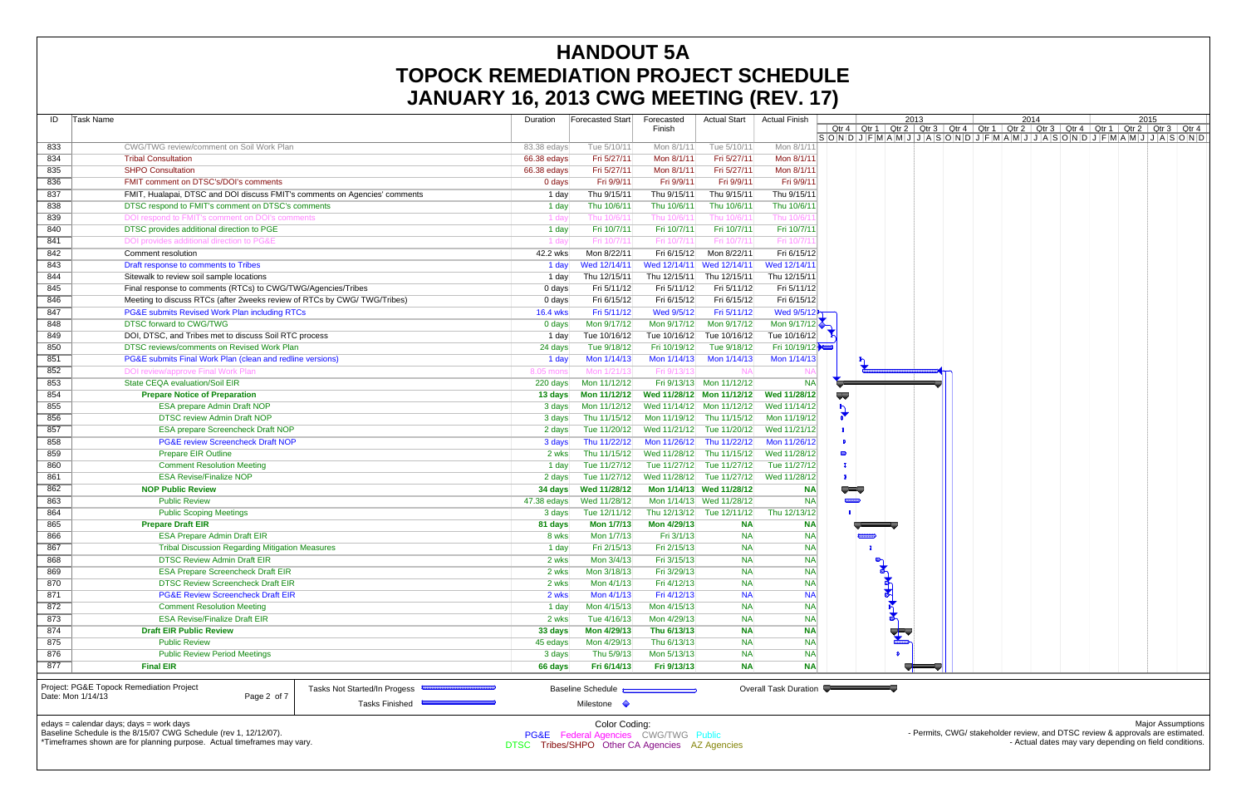|                                         | UNIVANTI 10, ZUIJ UWU MLLIINU (NLV. 17)                                              |                |                                                |                            |                           |                        |                           |                    |      |                                                                                                       |                                                                                          |
|-----------------------------------------|--------------------------------------------------------------------------------------|----------------|------------------------------------------------|----------------------------|---------------------------|------------------------|---------------------------|--------------------|------|-------------------------------------------------------------------------------------------------------|------------------------------------------------------------------------------------------|
| Task Name<br>ID                         |                                                                                      | Duration       | Forecasted Start                               | Forecasted                 | <b>Actual Start</b>       | <b>Actual Finish</b>   |                           |                    | 2013 | 2014                                                                                                  | 2015                                                                                     |
|                                         |                                                                                      |                |                                                | Finish                     |                           |                        |                           |                    |      | Qtr 4   Qtr 1   Qtr 2   Qtr 3   Qtr 4   Qtr 1   Qtr 2   Qtr 3   Qtr 4   Qtr 1   Qtr 2   Qtr 3   Qtr 4 | $S[O[N]D]J [F[M]A[M]J]J [A]S[O[N]D]J [F[M]A[M]J]J [A]S[O[N]D]J [F[M]A[M]J]J [A]S[O[N]D]$ |
| 833                                     | CWG/TWG review/comment on Soil Work Plan                                             | 83.38 edays    | Tue 5/10/11                                    | Mon 8/1/11                 | Tue 5/10/11               | Mon 8/1/11             |                           |                    |      |                                                                                                       |                                                                                          |
| 834                                     | <b>Tribal Consultation</b>                                                           | 66.38 edays    | Fri 5/27/11                                    | Mon 8/1/11                 | Fri 5/27/11               | Mon 8/1/11             |                           |                    |      |                                                                                                       |                                                                                          |
| 835                                     | <b>SHPO Consultation</b>                                                             | 66.38 edays    | Fri 5/27/11                                    | Mon 8/1/11                 | Fri 5/27/11               | Mon 8/1/11             |                           |                    |      |                                                                                                       |                                                                                          |
| 836                                     | FMIT comment on DTSC's/DOI's comments                                                | 0 days         | Fri 9/9/11                                     | Fri 9/9/11                 | Fri 9/9/11                | Fri 9/9/11             |                           |                    |      |                                                                                                       |                                                                                          |
| 837                                     | FMIT, Hualapai, DTSC and DOI discuss FMIT's comments on Agencies' comments           | 1 day          | Thu 9/15/11                                    | Thu 9/15/11                | Thu 9/15/11               | Thu 9/15/11            |                           |                    |      |                                                                                                       |                                                                                          |
| 838                                     | DTSC respond to FMIT's comment on DTSC's comments                                    | 1 day          | Thu 10/6/11                                    | Thu 10/6/11                | Thu 10/6/11               | Thu 10/6/11            |                           |                    |      |                                                                                                       |                                                                                          |
| 839                                     | DOI respond to FMIT's comment on DOI's comments                                      | 1 day          | Thu 10/6/1                                     | Thu 10/6/1                 | Thu 10/6/1                | Thu 10/6/′             |                           |                    |      |                                                                                                       |                                                                                          |
| 840                                     | DTSC provides additional direction to PGE                                            | 1 day          | Fri 10/7/11                                    | Fri 10/7/11                | Fri 10/7/11               | Fri 10/7/11            |                           |                    |      |                                                                                                       |                                                                                          |
| 841                                     | DOI provides additional direction to PG&E                                            | 1 day          | Fri 10/7/1                                     | Fri 10/7/1                 | Fri 10/7/1                | Fri 10/7/1             |                           |                    |      |                                                                                                       |                                                                                          |
| 842                                     | Comment resolution                                                                   | 42.2 wks       | Mon 8/22/11                                    | Fri 6/15/12                | Mon 8/22/11               | Fri 6/15/12            |                           |                    |      |                                                                                                       |                                                                                          |
| 843                                     | Draft response to comments to Tribes                                                 | 1 day          | Wed 12/14/11                                   | Wed 12/14/11               | Wed 12/14/11              | Wed 12/14/11           |                           |                    |      |                                                                                                       |                                                                                          |
| 844                                     | Sitewalk to review soil sample locations                                             | 1 day          | Thu 12/15/11                                   | Thu 12/15/11               | Thu 12/15/11              | Thu 12/15/11           |                           |                    |      |                                                                                                       |                                                                                          |
| 845                                     | Final response to comments (RTCs) to CWG/TWG/Agencies/Tribes                         | 0 days         | Fri 5/11/12                                    | Fri 5/11/12                | Fri 5/11/12               | Fri 5/11/12            |                           |                    |      |                                                                                                       |                                                                                          |
| 846                                     | Meeting to discuss RTCs (after 2weeks review of RTCs by CWG/TWG/Tribes)              | 0 days         | Fri 6/15/12                                    | Fri 6/15/12                | Fri 6/15/12               | Fri 6/15/12            |                           |                    |      |                                                                                                       |                                                                                          |
| 847                                     | PG&E submits Revised Work Plan including RTCs                                        | 16.4 wks       | Fri 5/11/12                                    | Wed 9/5/12                 | Fri 5/11/12               | Wed 9/5/12             |                           |                    |      |                                                                                                       |                                                                                          |
| 848                                     | <b>DTSC forward to CWG/TWG</b>                                                       | 0 days         | Mon 9/17/12                                    | Mon 9/17/12                | Mon 9/17/12               | Mon 9/17/12            |                           |                    |      |                                                                                                       |                                                                                          |
| 849                                     | DOI, DTSC, and Tribes met to discuss Soil RTC process                                | 1 day          | Tue 10/16/12                                   |                            | Tue 10/16/12 Tue 10/16/12 | Tue 10/16/12           |                           |                    |      |                                                                                                       |                                                                                          |
| 850                                     | DTSC reviews/comments on Revised Work Plan                                           | 24 days        | Tue 9/18/12                                    | Fri 10/19/12               | Tue 9/18/12               | Fri 10/19/12           |                           |                    |      |                                                                                                       |                                                                                          |
| 851                                     | PG&E submits Final Work Plan (clean and redline versions)                            | 1 day          | Mon 1/14/13                                    | Mon 1/14/13                | Mon 1/14/13               | Mon 1/14/13            |                           |                    |      |                                                                                                       |                                                                                          |
| 852                                     | DOI review/approve Final Work Plan                                                   | 8.05 mons      | Mon 1/21/1                                     | Fri 9/13/13                |                           |                        |                           |                    |      |                                                                                                       |                                                                                          |
| 853                                     | State CEQA evaluation/Soil EIR                                                       | 220 days       | Mon 11/12/12                                   |                            | Fri 9/13/13 Mon 11/12/12  | <b>NA</b>              |                           |                    |      |                                                                                                       |                                                                                          |
| 854                                     | <b>Prepare Notice of Preparation</b>                                                 | 13 days        | Mon 11/12/12                                   |                            | Wed 11/28/12 Mon 11/12/12 | Wed 11/28/12           | $\overline{\mathbf{v}}$   |                    |      |                                                                                                       |                                                                                          |
| 855                                     | <b>ESA prepare Admin Draft NOP</b>                                                   | 3 days         | Mon 11/12/12                                   |                            | Wed 11/14/12 Mon 11/12/12 | Wed 11/14/12           | ħ                         |                    |      |                                                                                                       |                                                                                          |
| 856                                     | <b>DTSC review Admin Draft NOP</b>                                                   | 3 days         | Thu 11/15/12                                   |                            | Mon 11/19/12 Thu 11/15/12 | Mon 11/19/12           |                           |                    |      |                                                                                                       |                                                                                          |
| 857                                     | <b>ESA prepare Screencheck Draft NOP</b>                                             | 2 days         | Tue 11/20/12                                   |                            | Wed 11/21/12 Tue 11/20/12 | Wed 11/21/12           |                           |                    |      |                                                                                                       |                                                                                          |
| 858                                     | <b>PG&amp;E review Screencheck Draft NOP</b>                                         | 3 days         | Thu 11/22/12                                   |                            | Mon 11/26/12 Thu 11/22/12 | Mon 11/26/12           |                           |                    |      |                                                                                                       |                                                                                          |
| 859                                     | <b>Prepare EIR Outline</b>                                                           | 2 wks          | Thu 11/15/12                                   |                            | Wed 11/28/12 Thu 11/15/12 | Wed 11/28/12           | 0                         |                    |      |                                                                                                       |                                                                                          |
| 860                                     | <b>Comment Resolution Meeting</b>                                                    | 1 day          | Tue 11/27/12                                   |                            | Tue 11/27/12 Tue 11/27/12 | Tue 11/27/12           |                           |                    |      |                                                                                                       |                                                                                          |
| 861                                     | <b>ESA Revise/Finalize NOP</b>                                                       | 2 days         | Tue 11/27/12                                   |                            | Wed 11/28/12 Tue 11/27/12 | Wed 11/28/12           |                           |                    |      |                                                                                                       |                                                                                          |
| 862                                     | <b>NOP Public Review</b>                                                             | $34$ days      | Wed 11/28/12                                   |                            | Mon 1/14/13 Wed 11/28/12  | <b>NA</b>              |                           |                    |      |                                                                                                       |                                                                                          |
| 863                                     | <b>Public Review</b>                                                                 | 47.38 edays    | Wed 11/28/12                                   |                            | Mon 1/14/13 Wed 11/28/12  | <b>NA</b>              | <b>THE</b><br><u>emmo</u> |                    |      |                                                                                                       |                                                                                          |
|                                         |                                                                                      |                |                                                |                            | Thu 12/13/12 Tue 12/11/12 | Thu 12/13/12           |                           |                    |      |                                                                                                       |                                                                                          |
| 864                                     | <b>Public Scoping Meetings</b>                                                       | 3 days         | Tue 12/11/12                                   |                            |                           |                        |                           |                    |      |                                                                                                       |                                                                                          |
| 865                                     | <b>Prepare Draft EIR</b>                                                             | 81 days        | Mon 1/7/13                                     | Mon 4/29/13                | <b>NA</b>                 | <b>NA</b>              |                           |                    |      |                                                                                                       |                                                                                          |
| 866<br>867                              | <b>ESA Prepare Admin Draft EIR</b>                                                   | 8 wks<br>1 day | Mon 1/7/13<br>Fri 2/15/13                      | Fri 3/1/13<br>Fri 2/15/13  | <b>NA</b><br><b>NA</b>    | <b>NA</b><br><b>NA</b> | $\mathbf{I}$              |                    |      |                                                                                                       |                                                                                          |
|                                         | <b>Tribal Discussion Regarding Mitigation Measures</b>                               |                |                                                |                            |                           |                        |                           | $\mathbb{Z}$       |      |                                                                                                       |                                                                                          |
| 868                                     | <b>DTSC Review Admin Draft EIR</b>                                                   | 2 wks          | Mon 3/4/13                                     | Fri 3/15/13                | <b>NA</b><br><b>NA</b>    | <b>NA</b><br><b>NA</b> |                           | $\frac{1}{\sigma}$ |      |                                                                                                       |                                                                                          |
| 869                                     | <b>ESA Prepare Screencheck Draft EIR</b><br><b>DTSC Review Screencheck Draft EIR</b> | 2 wks          | Mon 3/18/13<br>Mon 4/1/13                      | Fri 3/29/13                |                           | <b>NA</b>              |                           |                    |      |                                                                                                       |                                                                                          |
| 870                                     |                                                                                      | 2 wks          |                                                | Fri 4/12/13                | <b>NA</b>                 |                        |                           |                    |      |                                                                                                       |                                                                                          |
| 871                                     | <b>PG&amp;E Review Screencheck Draft EIR</b>                                         | 2 wks          | Mon 4/1/13                                     | Fri 4/12/13<br>Mon 4/15/13 | <b>NA</b>                 | <b>NA</b>              |                           |                    |      |                                                                                                       |                                                                                          |
| 872                                     | <b>Comment Resolution Meeting</b>                                                    | 1 day          | Mon 4/15/13                                    |                            | <b>NA</b>                 | <b>NA</b>              |                           |                    |      |                                                                                                       |                                                                                          |
| 873                                     | <b>ESA Revise/Finalize Draft EIR</b>                                                 | 2 wks          | Tue 4/16/13                                    | Mon 4/29/13                | <b>NA</b>                 | <b>NA</b>              |                           |                    |      |                                                                                                       |                                                                                          |
| 874                                     | <b>Draft EIR Public Review</b>                                                       | 33 days        | Mon 4/29/13                                    | Thu 6/13/13                | <b>NA</b>                 | <b>NA</b>              |                           |                    |      |                                                                                                       |                                                                                          |
| 875                                     | <b>Public Review</b>                                                                 | 45 edays       | Mon 4/29/13                                    | Thu 6/13/13                | <b>NA</b>                 | <b>NA</b>              |                           |                    |      |                                                                                                       |                                                                                          |
| 876                                     | <b>Public Review Period Meetings</b>                                                 | 3 days         | Thu 5/9/13                                     | Mon 5/13/13                | <b>NA</b>                 | <b>NA</b>              |                           |                    |      |                                                                                                       |                                                                                          |
| 877                                     | <b>Final EIR</b>                                                                     | 66 days        | Fri 6/14/13                                    | Fri 9/13/13                | <b>NA</b>                 | <b>NA</b>              |                           |                    |      |                                                                                                       |                                                                                          |
|                                         | Project: PG&E Topock Remediation Project<br>Tasks Not Started/In Progess             |                | <b>Baseline Schedule</b>                       |                            |                           | Overall Task Duration  |                           |                    |      |                                                                                                       |                                                                                          |
| Date: Mon 1/14/13                       | Page 2 of 7                                                                          |                |                                                |                            |                           |                        |                           |                    |      |                                                                                                       |                                                                                          |
|                                         | <b>Tasks Finished</b>                                                                |                | Milestone $\Diamond$                           |                            |                           |                        |                           |                    |      |                                                                                                       |                                                                                          |
| edays = calendar days; days = work days |                                                                                      |                | Color Coding:                                  |                            |                           |                        |                           |                    |      |                                                                                                       | <b>Major Assumptions</b>                                                                 |
|                                         | Baseline Schedule is the 8/15/07 CWG Schedule (rev 1, 12/12/07).                     |                | PG&E Federal Agencies CWG/TWG Public           |                            |                           |                        |                           |                    |      |                                                                                                       | - Permits, CWG/ stakeholder review, and DTSC review & approvals are estimated.           |
|                                         | *Timeframes shown are for planning purpose. Actual timeframes may vary.              |                | DTSC Tribes/SHPO Other CA Agencies AZ Agencies |                            |                           |                        |                           |                    |      |                                                                                                       | - Actual dates may vary depending on field conditions.                                   |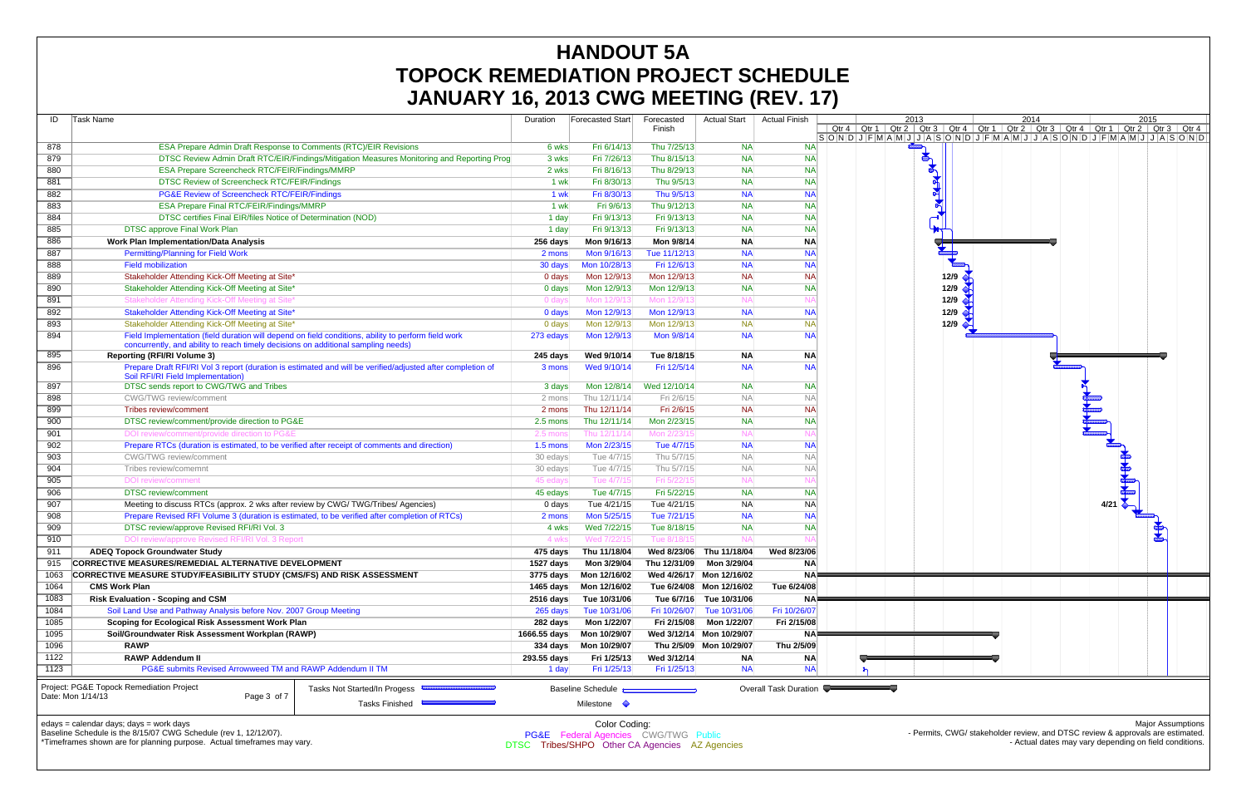| ID         | Task Name                                                                                                                                                                                | Duration            | Forecasted Start                                 | Forecasted                 | <b>Actual Start</b>      | <b>Actual Finish</b>  |                     | 20 |
|------------|------------------------------------------------------------------------------------------------------------------------------------------------------------------------------------------|---------------------|--------------------------------------------------|----------------------------|--------------------------|-----------------------|---------------------|----|
|            |                                                                                                                                                                                          |                     |                                                  | Finish                     |                          |                       | $Qtr 4$ Qtr 1 Qtr 2 |    |
|            | <b>ESA Prepare Admin Draft Response to Comments (RTC)/EIR Revisions</b>                                                                                                                  |                     |                                                  | Thu 7/25/13                |                          |                       | S O N D J F M A M J |    |
| 878<br>879 |                                                                                                                                                                                          | 6 wks               | Fri 6/14/13                                      |                            | <b>NA</b><br><b>NA</b>   | <b>NA</b>             |                     |    |
|            | DTSC Review Admin Draft RTC/EIR/Findings/Mitigation Measures Monitoring and Reporting Prog                                                                                               | 3 wks               | Fri 7/26/13<br>Fri 8/16/13                       | Thu 8/15/13<br>Thu 8/29/13 | <b>NA</b>                | <b>NA</b>             |                     |    |
| 880        | <b>ESA Prepare Screencheck RTC/FEIR/Findings/MMRP</b>                                                                                                                                    | 2 wks               |                                                  |                            |                          | <b>NA</b>             |                     |    |
| 881        | DTSC Review of Screencheck RTC/FEIR/Findings                                                                                                                                             | 1 wk                | Fri 8/30/13                                      | Thu 9/5/13                 | <b>NA</b>                | <b>NA</b>             |                     |    |
| 882        | PG&E Review of Screencheck RTC/FEIR/Findings                                                                                                                                             | 1 wk                | Fri 8/30/13                                      | Thu 9/5/13                 | <b>NA</b>                | <b>NA</b>             |                     |    |
| 883        | <b>ESA Prepare Final RTC/FEIR/Findings/MMRP</b>                                                                                                                                          | 1 wk                | Fri 9/6/13                                       | Thu 9/12/13                | <b>NA</b>                | <b>NA</b>             |                     |    |
| 884        | DTSC certifies Final EIR/files Notice of Determination (NOD)                                                                                                                             | 1 day               | Fri 9/13/13                                      | Fri 9/13/13                | <b>NA</b>                | <b>NA</b>             |                     |    |
| 885        | <b>DTSC approve Final Work Plan</b>                                                                                                                                                      | 1 day               | Fri 9/13/13                                      | Fri 9/13/13                | <b>NA</b>                | <b>NA</b>             |                     |    |
| 886        | <b>Work Plan Implementation/Data Analysis</b>                                                                                                                                            | $256$ days          | Mon 9/16/13                                      | Mon 9/8/14                 | <b>NA</b>                | <b>NA</b>             |                     |    |
| 887        | <b>Permitting/Planning for Field Work</b>                                                                                                                                                | 2 mons              | Mon 9/16/13                                      | Tue 11/12/13               | <b>NA</b>                | <b>NA</b>             |                     |    |
| 888        | <b>Field mobilization</b>                                                                                                                                                                | 30 days             | Mon 10/28/13                                     | Fri 12/6/13                | <b>NA</b>                | <b>NA</b>             |                     |    |
| 889        | Stakeholder Attending Kick-Off Meeting at Site*                                                                                                                                          | 0 days              | Mon 12/9/13                                      | Mon 12/9/13                | <b>NA</b>                | <b>NA</b>             |                     |    |
| 890        | Stakeholder Attending Kick-Off Meeting at Site*                                                                                                                                          | 0 days              | Mon 12/9/13                                      | Mon 12/9/13                | <b>NA</b>                | <b>NA</b>             |                     |    |
| 891        | Stakeholder Attending Kick-Off Meeting at Site                                                                                                                                           | 0 day               | Mon 12/9/13                                      | Mon 12/9/1                 | N/                       | NA                    |                     |    |
| 892        | Stakeholder Attending Kick-Off Meeting at Site*                                                                                                                                          | 0 days              | Mon 12/9/13                                      | Mon 12/9/13                | <b>NA</b>                | <b>NA</b>             |                     |    |
| 893        | Stakeholder Attending Kick-Off Meeting at Site*                                                                                                                                          | 0 days              | Mon 12/9/13                                      | Mon 12/9/13                | <b>NA</b>                | <b>NA</b>             |                     |    |
| 894        | Field Implementation (field duration will depend on field conditions, ability to perform field work<br>concurrently, and ability to reach timely decisions on additional sampling needs) | 273 edays           | Mon 12/9/13                                      | Mon 9/8/14                 | <b>NA</b>                | <b>NA</b>             |                     |    |
| 895        | <b>Reporting (RFI/RI Volume 3)</b>                                                                                                                                                       | 245 days            | Wed 9/10/14                                      | Tue 8/18/15                | <b>NA</b>                | <b>NA</b>             |                     |    |
| 896        | Prepare Draft RFI/RI Vol 3 report (duration is estimated and will be verified/adjusted after completion of<br>Soil RFI/RI Field Implementation)                                          | 3 mons              | Wed 9/10/14                                      | Fri 12/5/14                | <b>NA</b>                | <b>NA</b>             |                     |    |
| 897        | DTSC sends report to CWG/TWG and Tribes                                                                                                                                                  | 3 days              | Mon 12/8/14                                      | Wed 12/10/14               | <b>NA</b>                | <b>NA</b>             |                     |    |
| 898        | CWG/TWG review/comment                                                                                                                                                                   | 2 mons              | Thu 12/11/14                                     | Fri 2/6/15                 | <b>NA</b>                | <b>NA</b>             |                     |    |
| 899        | <b>Tribes review/comment</b>                                                                                                                                                             | 2 mons              | Thu 12/11/14                                     | Fri 2/6/15                 | <b>NA</b>                | <b>NA</b>             |                     |    |
| 900        | DTSC review/comment/provide direction to PG&E                                                                                                                                            | 2.5 mons            | Thu 12/11/14                                     | Mon 2/23/15                | <b>NA</b>                | <b>NA</b>             |                     |    |
| 901        | DOI review/comment/provide direction to PG&E                                                                                                                                             | $2.5\ \mathsf{mon}$ | Thu 12/11/14                                     | Mon 2/23/1                 | N <sub>A</sub>           | N۵                    |                     |    |
| 902        | Prepare RTCs (duration is estimated, to be verified after receipt of comments and direction)                                                                                             | $1.5$ mons          | Mon 2/23/15                                      | Tue 4/7/15                 | <b>NA</b>                | <b>NA</b>             |                     |    |
| 903        | <b>CWG/TWG</b> review/comment                                                                                                                                                            | 30 edays            | Tue 4/7/15                                       | Thu 5/7/15                 | <b>NA</b>                | <b>NA</b>             |                     |    |
| 904        | Tribes review/comemnt                                                                                                                                                                    | 30 edays            | Tue 4/7/15                                       | Thu 5/7/15                 | <b>NA</b>                | <b>NA</b>             |                     |    |
| 905        | DOI review/comment                                                                                                                                                                       | 45 edays            | Tue 4/7/15                                       | Fri 5/22/1                 | N <sub>A</sub>           | NA                    |                     |    |
| 906        | <b>DTSC</b> review/comment                                                                                                                                                               | 45 edays            | Tue 4/7/15                                       | Fri 5/22/15                | <b>NA</b>                | <b>NA</b>             |                     |    |
| 907        | Meeting to discuss RTCs (approx. 2 wks after review by CWG/TWG/Tribes/ Agencies)                                                                                                         | $0$ days            | Tue 4/21/15                                      | Tue 4/21/15                | <b>NA</b>                | <b>NA</b>             |                     |    |
| 908        | Prepare Revised RFI Volume 3 (duration is estimated, to be verified after completion of RTCs)                                                                                            | 2 mons              | Mon 5/25/15                                      | Tue 7/21/15                | <b>NA</b>                | <b>NA</b>             |                     |    |
| 909        | DTSC review/approve Revised RFI/RI Vol. 3                                                                                                                                                | 4 wks               | Wed 7/22/15                                      | Tue 8/18/15                | <b>NA</b>                | <b>NA</b>             |                     |    |
| 910        | DOI review/approve Revised RFI/RI Vol. 3 Report                                                                                                                                          | 4 wks               | Wed 7/22/15                                      | Tue 8/18/1                 | N <sub>f</sub>           |                       |                     |    |
| 911        | <b>ADEQ Topock Groundwater Study</b>                                                                                                                                                     | 475 days            | Thu 11/18/04                                     | Wed 8/23/06                | Thu 11/18/04             | Wed 8/23/06           |                     |    |
| 915        | CORRECTIVE MEASURES/REMEDIAL ALTERNATIVE DEVELOPMENT                                                                                                                                     | 1527 days           | Mon 3/29/04                                      | Thu 12/31/09               | Mon 3/29/04              | <b>NA</b>             |                     |    |
| 1063       | CORRECTIVE MEASURE STUDY/FEASIBILITY STUDY (CMS/FS) AND RISK ASSESSMENT                                                                                                                  | 3775 days           | Mon 12/16/02                                     |                            | Wed 4/26/17 Mon 12/16/02 | <b>NA</b>             |                     |    |
| 1064       | <b>CMS Work Plan</b>                                                                                                                                                                     | 1465 days           | Mon 12/16/02                                     |                            | Tue 6/24/08 Mon 12/16/02 | Tue 6/24/08           |                     |    |
| 1083       | <b>Risk Evaluation - Scoping and CSM</b>                                                                                                                                                 | 2516 days           | Tue 10/31/06                                     | Tue 6/7/16                 | Tue 10/31/06             | <b>NA</b>             |                     |    |
| 1084       | Soil Land Use and Pathway Analysis before Nov. 2007 Group Meeting                                                                                                                        | 265 days            | Tue 10/31/06                                     | Fri 10/26/07               | Tue 10/31/06             | Fri 10/26/07          |                     |    |
| 1085       | Scoping for Ecological Risk Assessment Work Plan                                                                                                                                         | 282 days            | Mon 1/22/07                                      | Fri 2/15/08                | Mon 1/22/07              | Fri 2/15/08           |                     |    |
| 1095       | Soil/Groundwater Risk Assessment Workplan (RAWP)                                                                                                                                         | 1666.55 days        | Mon 10/29/07                                     | Wed 3/12/14                | Mon 10/29/07             | <b>NA</b>             |                     |    |
| 1096       | <b>RAWP</b>                                                                                                                                                                              | $334$ days          | Mon 10/29/07                                     | Thu 2/5/09                 | Mon 10/29/07             | Thu 2/5/09            |                     |    |
| 1122       | <b>RAWP Addendum II</b>                                                                                                                                                                  | 293.55 days         | Fri 1/25/13                                      | Wed 3/12/14                | <b>NA</b>                | <b>NA</b>             |                     |    |
| 1123       | PG&E submits Revised Arrowweed TM and RAWP Addendum II TM                                                                                                                                | 1 day               | Fri 1/25/13                                      | Fri 1/25/13                | <b>NA</b>                | <b>NA</b>             |                     |    |
|            | Project: PG&E Topock Remediation Project<br>Tasks Not Started/In Progess<br>Date: Mon 1/14/13<br>Page 3 of 7<br>Tasks Finished                                                           |                     | <b>Baseline Schedule</b><br>Milestone $\Diamond$ |                            |                          | Overall Task Duration |                     |    |
|            |                                                                                                                                                                                          |                     |                                                  |                            |                          |                       |                     |    |

edays = calendar days; days = work days Baseline Schedule is the 8/15/07 CWG Schedule (rev 1, 12/12/07).



<sup>-</sup> Actual dates may vary depending on field conditions.

\*Timeframes shown are for planning purpose. Actual timeframes may vary.

Color Coding: PG&E Federal Agencies CWG/TWG Public DTSC Tribes/SHPO Other CA Agencies AZ Agencies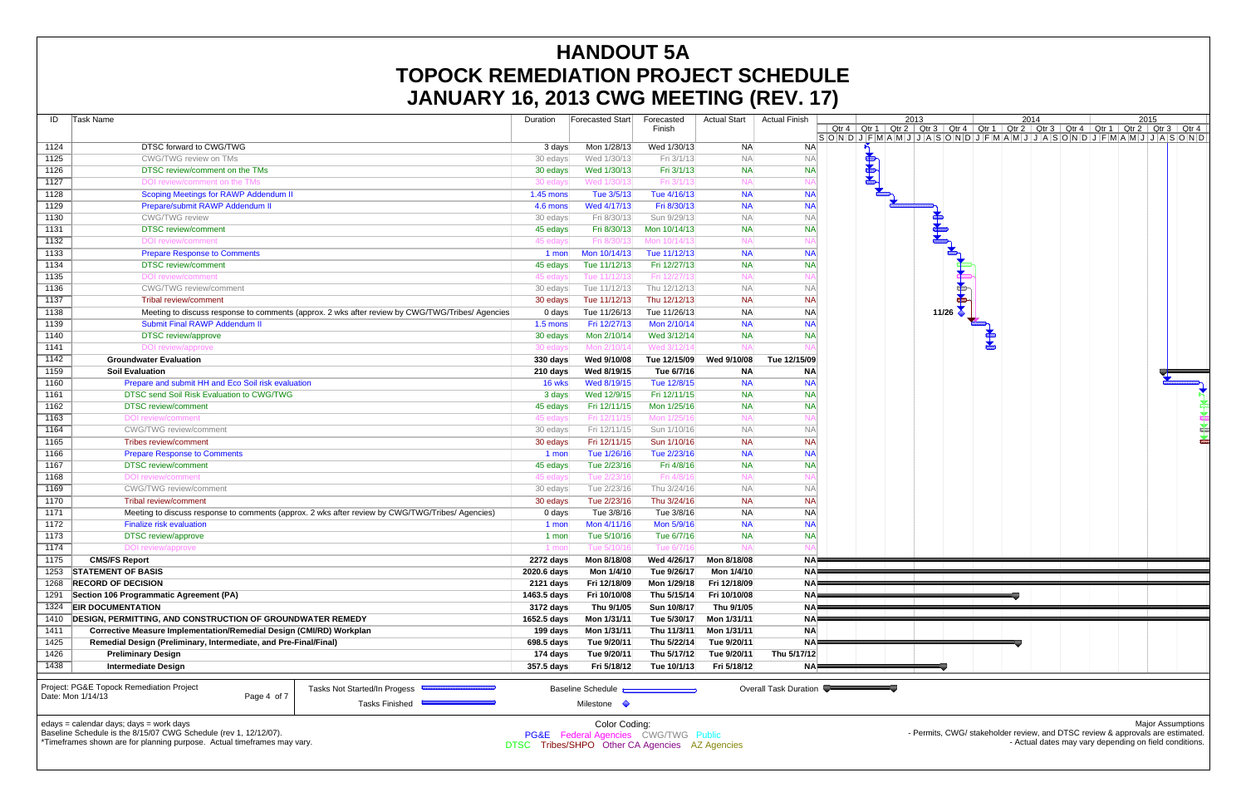| ID   | <b>Task Name</b>                                                                                                                                                                 | Duration           | <b>Forecasted Start</b>                                    | Forecasted<br>Finish | <b>Actual Start</b> | <b>Actual Finish</b>  | 20<br>Qtr 4   Qtr 1   Qtr 2 |
|------|----------------------------------------------------------------------------------------------------------------------------------------------------------------------------------|--------------------|------------------------------------------------------------|----------------------|---------------------|-----------------------|-----------------------------|
| 1124 | DTSC forward to CWG/TWG                                                                                                                                                          | 3 days             | Mon 1/28/13                                                | Wed 1/30/13          | <b>NA</b>           | <b>NA</b>             | $S$ ONDJFMAMJ               |
| 1125 | <b>CWG/TWG review on TMs</b>                                                                                                                                                     | 30 edays           | Wed 1/30/13                                                | Fri 3/1/13           | <b>NA</b>           | <b>NA</b>             | $\frac{1}{2}$               |
| 1126 | DTSC review/comment on the TMs                                                                                                                                                   | 30 edays           | Wed 1/30/13                                                | Fri 3/1/13           | <b>NA</b>           | <b>NA</b>             |                             |
| 1127 | DOI review/comment on the TMs                                                                                                                                                    | 30 edays           | Wed 1/30/13                                                | Fri 3/1/1            | <b>NA</b>           |                       |                             |
| 1128 | Scoping Meetings for RAWP Addendum II                                                                                                                                            | 1.45 mons          | Tue 3/5/13                                                 | Tue 4/16/13          | <b>NA</b>           | <b>NA</b>             |                             |
| 1129 | Prepare/submit RAWP Addendum II                                                                                                                                                  | 4.6 mons           | Wed 4/17/13                                                | Fri 8/30/13          | <b>NA</b>           | <b>NA</b>             |                             |
| 1130 | <b>CWG/TWG</b> review                                                                                                                                                            | 30 edays           | Fri 8/30/13                                                | Sun 9/29/13          | <b>NA</b>           | <b>NA</b>             |                             |
| 1131 | <b>DTSC</b> review/comment                                                                                                                                                       | 45 edays           | Fri 8/30/13                                                | Mon 10/14/13         | <b>NA</b>           | <b>NA</b>             |                             |
| 1132 | <b>DOI</b> review/comment                                                                                                                                                        | 45 edays           | Fri 8/30/1                                                 | Mon 10/14/1          | $N_A$               |                       |                             |
| 1133 | <b>Prepare Response to Comments</b>                                                                                                                                              | 1 mon              | Mon 10/14/13                                               | Tue 11/12/13         | <b>NA</b>           | <b>NA</b>             |                             |
| 1134 | <b>DTSC</b> review/comment                                                                                                                                                       | 45 edays           | Tue 11/12/13                                               | Fri 12/27/13         | <b>NA</b>           | <b>NA</b>             |                             |
| 1135 | <b>DOI</b> review/comment                                                                                                                                                        | 45 edays           | Tue 11/12/13                                               | Fri 12/27/1          | <b>NA</b>           | NA                    |                             |
| 1136 | CWG/TWG review/comment                                                                                                                                                           | 30 edays           | Tue 11/12/13                                               | Thu 12/12/13         | <b>NA</b>           | <b>NA</b>             |                             |
| 1137 | Tribal review/comment                                                                                                                                                            | 30 edays           | Tue 11/12/13                                               | Thu 12/12/13         | <b>NA</b>           | <b>NA</b>             |                             |
| 1138 | Meeting to discuss response to comments (approx. 2 wks after review by CWG/TWG/Tribes/ Agencies                                                                                  | 0 days             | Tue 11/26/13                                               | Tue 11/26/13         | <b>NA</b>           | <b>NA</b>             |                             |
| 1139 | Submit Final RAWP Addendum II                                                                                                                                                    | 1.5 mons           | Fri 12/27/13                                               | Mon 2/10/14          | <b>NA</b>           | <b>NA</b>             |                             |
| 1140 | DTSC review/approve                                                                                                                                                              | 30 edays           | Mon 2/10/14                                                | Wed 3/12/14          | <b>NA</b>           | <b>NA</b>             |                             |
| 1141 | DOI review/approve                                                                                                                                                               | 30 edays           | Mon 2/10/14                                                | Wed 3/12/14          | $N_A$               |                       |                             |
| 1142 | <b>Groundwater Evaluation</b>                                                                                                                                                    | $330$ days         | Wed 9/10/08                                                | Tue 12/15/09         | Wed 9/10/08         | Tue 12/15/09          |                             |
| 1159 | <b>Soil Evaluation</b>                                                                                                                                                           | $210 \text{ days}$ | Wed 8/19/15                                                | Tue 6/7/16           | <b>NA</b>           | <b>NA</b>             |                             |
| 1160 | Prepare and submit HH and Eco Soil risk evaluation                                                                                                                               | 16 wks             | Wed 8/19/15                                                | Tue 12/8/15          | <b>NA</b>           | <b>NA</b>             |                             |
| 1161 | DTSC send Soil Risk Evaluation to CWG/TWG                                                                                                                                        | 3 days             | Wed 12/9/15                                                | Fri 12/11/15         | <b>NA</b>           | <b>NA</b>             |                             |
| 1162 | <b>DTSC</b> review/comment                                                                                                                                                       | 45 edays           | Fri 12/11/15                                               | Mon 1/25/16          | <b>NA</b>           | <b>NA</b>             |                             |
| 1163 | DOI review/comment                                                                                                                                                               | 45 edays           | Fri 12/11/15                                               | Mon 1/25/1           | <b>NA</b>           |                       |                             |
| 1164 | <b>CWG/TWG</b> review/comment                                                                                                                                                    | 30 edays           | Fri 12/11/15                                               | Sun 1/10/16          | <b>NA</b>           | <b>NA</b>             |                             |
| 1165 | <b>Tribes review/comment</b>                                                                                                                                                     | 30 edays           | Fri 12/11/15                                               | Sun 1/10/16          | <b>NA</b>           | <b>NA</b>             |                             |
| 1166 | <b>Prepare Response to Comments</b>                                                                                                                                              | 1 mon              | Tue 1/26/16                                                | Tue 2/23/16          | <b>NA</b>           | <b>NA</b>             |                             |
| 1167 | <b>DTSC</b> review/comment                                                                                                                                                       | 45 edays           | Tue 2/23/16                                                | Fri 4/8/16           | <b>NA</b>           | <b>NA</b>             |                             |
| 1168 | DOI review/comment                                                                                                                                                               | 45 edays           | Tue 2/23/16                                                | Fri 4/8/1            | <b>NA</b>           |                       |                             |
| 1169 | <b>CWG/TWG</b> review/comment                                                                                                                                                    | 30 edays           | Tue 2/23/16                                                | Thu 3/24/16          | <b>NA</b>           | <b>NA</b>             |                             |
| 1170 | <b>Tribal review/comment</b>                                                                                                                                                     | 30 edays           | Tue 2/23/16                                                | Thu 3/24/16          | <b>NA</b>           | <b>NA</b>             |                             |
| 1171 | Meeting to discuss response to comments (approx. 2 wks after review by CWG/TWG/Tribes/ Agencies)                                                                                 | $0 \text{ days}$   | Tue 3/8/16                                                 | Tue 3/8/16           | <b>NA</b>           | <b>NA</b>             |                             |
| 1172 | <b>Finalize risk evaluation</b>                                                                                                                                                  | 1 mon              | Mon 4/11/16                                                | Mon 5/9/16           | <b>NA</b>           | <b>NA</b>             |                             |
| 1173 | DTSC review/approve                                                                                                                                                              | 1 mon              | Tue 5/10/16                                                | Tue 6/7/16           | <b>NA</b>           | <b>NA</b>             |                             |
| 1174 | DOI review/approve                                                                                                                                                               | 1 mor              | Tue 5/10/16                                                | Tue 6/7/1            | <b>NA</b>           |                       |                             |
| 1175 | <b>CMS/FS Report</b>                                                                                                                                                             | $2272$ days        | Mon 8/18/08                                                | Wed 4/26/17          | Mon 8/18/08         | <b>NA</b>             |                             |
| 1253 | <b>STATEMENT OF BASIS</b>                                                                                                                                                        | 2020.6 days        | Mon 1/4/10                                                 | Tue 9/26/17          | Mon 1/4/10          | NA <sup> </sup>       |                             |
| 1268 | <b>RECORD OF DECISION</b>                                                                                                                                                        | 2121 days          | Fri 12/18/09                                               | Mon 1/29/18          | Fri 12/18/09        | <b>NA</b>             |                             |
| 1291 | Section 106 Programmatic Agreement (PA)                                                                                                                                          | 1463.5 days        | Fri 10/10/08                                               | Thu 5/15/14          | Fri 10/10/08        | <b>NA</b>             |                             |
| 1324 | <b>EIR DOCUMENTATION</b>                                                                                                                                                         | 3172 days          | Thu 9/1/05                                                 | Sun 10/8/17          | Thu 9/1/05          | <b>NA</b>             |                             |
| 1410 | <b>DESIGN, PERMITTING, AND CONSTRUCTION OF GROUNDWATER REMEDY</b>                                                                                                                | 1652.5 days        | Mon 1/31/11                                                | Tue 5/30/17          | Mon 1/31/11         | <b>NA</b>             |                             |
| 1411 | <b>Corrective Measure Implementation/Remedial Design (CMI/RD) Workplan</b>                                                                                                       | 199 days           | Mon 1/31/11                                                | Thu 11/3/11          | Mon 1/31/11         | <b>NA</b>             |                             |
| 1425 | Remedial Design (Preliminary, Intermediate, and Pre-Final/Final)                                                                                                                 | 698.5 days         | Tue 9/20/11                                                | Thu 5/22/14          | Tue 9/20/11         | <b>NA</b>             |                             |
| 1426 | <b>Preliminary Design</b>                                                                                                                                                        | 174 days           | Tue 9/20/11                                                | Thu 5/17/12          | Tue 9/20/11         | Thu 5/17/12           |                             |
| 1438 | <b>Intermediate Design</b>                                                                                                                                                       | 357.5 days         | Fri 5/18/12                                                | Tue 10/1/13          | Fri 5/18/12         | NA⊧                   |                             |
|      | Project: PG&E Topock Remediation Project<br>Tasks Not Started/In Progess<br>Date: Mon 1/14/13<br>Page 4 of 7<br><b>Tasks Finished</b><br>edays = calendar days; days = work days |                    | Baseline Schedule<br>Milestone $\Diamond$<br>Color Coding: |                      |                     | Overall Task Duration |                             |
|      | Baseline Schedule is the 8/15/07 CWG Schedule (rev 1, 12/12/07).                                                                                                                 |                    | <b>PG&amp;F</b> Federal Agencies CWG/TWG Public            |                      |                     |                       |                             |



\*Timeframes shown are for planning purpose. Actual timeframes may vary.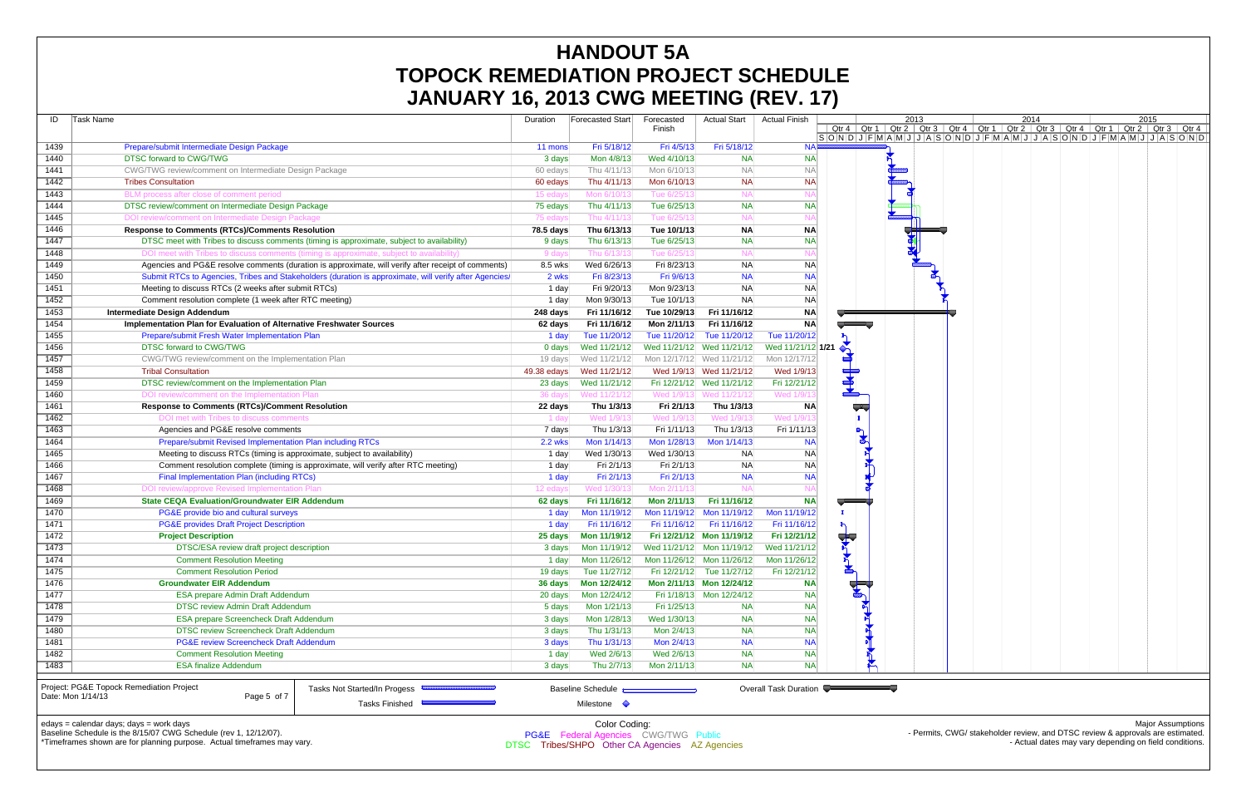|                   | UANUANT TO, ZUTJ UWU MLLTING (NLV. TT                                                                                   |                |                                                                  |                           |                           |                       |                                                                                                                                                                                                                                          |                   |
|-------------------|-------------------------------------------------------------------------------------------------------------------------|----------------|------------------------------------------------------------------|---------------------------|---------------------------|-----------------------|------------------------------------------------------------------------------------------------------------------------------------------------------------------------------------------------------------------------------------------|-------------------|
| ID                | Task Name                                                                                                               | Duration       | Forecasted Start                                                 | Forecasted                | <b>Actual Start</b>       | <b>Actual Finish</b>  | 2013<br>2015<br>2014                                                                                                                                                                                                                     |                   |
|                   |                                                                                                                         |                |                                                                  | Finish                    |                           |                       | <u>  Qtr 4   Qtr 1   Qtr 2   Qtr 3   Qtr 4   Qtr 1   Qtr 2   Qtr 3   Qtr 4   Qtr 1   Qtr 2   Qtr 3   Qtr 4  <br/> S  O  N  D   J  F  M  A  M  J  J  A  S  O  N  D  J  F  M  A  M  J  J  A  S  O  N  D  J  F  M  A  M  J  J  A  S  O </u> |                   |
| 1439              | Prepare/submit Intermediate Design Package                                                                              | 11 mons        | Fri 5/18/12                                                      | Fri 4/5/13                | Fri 5/18/12               | <b>NA</b>             |                                                                                                                                                                                                                                          |                   |
| 1440              | <b>DTSC forward to CWG/TWG</b>                                                                                          | 3 days         | Mon 4/8/13                                                       | Wed 4/10/13               | <b>NA</b>                 | <b>NA</b>             |                                                                                                                                                                                                                                          |                   |
| 1441              | CWG/TWG review/comment on Intermediate Design Package                                                                   | 60 edays       | Thu 4/11/13                                                      | Mon 6/10/13               | <b>NA</b>                 | <b>NA</b>             |                                                                                                                                                                                                                                          |                   |
| 1442              | <b>Tribes Consultation</b>                                                                                              | 60 edays       | Thu 4/11/13                                                      | Mon 6/10/13               | <b>NA</b>                 | <b>NA</b>             |                                                                                                                                                                                                                                          |                   |
| 1443              | BLM process after close of comment period                                                                               | 15 eday        | Mon 6/10/1                                                       | Tue 6/25/13               | <b>NA</b>                 |                       |                                                                                                                                                                                                                                          |                   |
| 1444              | DTSC review/comment on Intermediate Design Package                                                                      | 75 edays       | Thu 4/11/13                                                      | Tue 6/25/13               | <b>NA</b>                 | <b>NA</b>             |                                                                                                                                                                                                                                          |                   |
| 1445              | DOI review/comment on Intermediate Design Package                                                                       | 75 eday        | Thu 4/11/1                                                       | Tue 6/25/13               | <b>NA</b>                 |                       |                                                                                                                                                                                                                                          |                   |
| 1446              | <b>Response to Comments (RTCs)/Comments Resolution</b>                                                                  | 78.5 days      | Thu 6/13/13                                                      | Tue 10/1/13               | <b>NA</b>                 | <b>NA</b>             |                                                                                                                                                                                                                                          |                   |
| 1447              | DTSC meet with Tribes to discuss comments (timing is approximate, subject to availability)                              | 9 days         | Thu 6/13/13                                                      | Tue 6/25/13               | <b>NA</b>                 | <b>NA</b>             |                                                                                                                                                                                                                                          |                   |
| 1448              | DOI meet with Tribes to discuss comments (timing is approximate, subject to availability)                               | 9 day          | Thu 6/13/13                                                      | Tue 6/25/1                | <b>NA</b>                 |                       |                                                                                                                                                                                                                                          |                   |
| 1449              | Agencies and PG&E resolve comments (duration is approximate, will verify after receipt of comments)                     | 8.5 wks        | Wed 6/26/13                                                      | Fri 8/23/13               | <b>NA</b>                 | <b>NA</b>             |                                                                                                                                                                                                                                          |                   |
| 1450              | Submit RTCs to Agencies, Tribes and Stakeholders (duration is approximate, will verify after Agencies/                  | 2 wks          | Fri 8/23/13                                                      | Fri 9/6/13                | <b>NA</b>                 | <b>NA</b>             |                                                                                                                                                                                                                                          |                   |
| 1451              | Meeting to discuss RTCs (2 weeks after submit RTCs)                                                                     | 1 day          | Fri 9/20/13                                                      | Mon 9/23/13               | <b>NA</b>                 | <b>NA</b>             |                                                                                                                                                                                                                                          |                   |
| 1452              | Comment resolution complete (1 week after RTC meeting)                                                                  | 1 day          | Mon 9/30/13                                                      | Tue 10/1/13               | <b>NA</b>                 | <b>NA</b>             |                                                                                                                                                                                                                                          |                   |
| 1453              | <b>Intermediate Design Addendum</b>                                                                                     | 248 days       | Fri 11/16/12                                                     | Tue 10/29/13              | Fri 11/16/12              | NA                    |                                                                                                                                                                                                                                          |                   |
| 1454              | Implementation Plan for Evaluation of Alternative Freshwater Sources                                                    | 62 days        | Fri 11/16/12                                                     | Mon 2/11/13               | Fri 11/16/12              | NA                    |                                                                                                                                                                                                                                          |                   |
| 1455              | Prepare/submit Fresh Water Implementation Plan                                                                          | 1 day          | Tue 11/20/12                                                     |                           | Tue 11/20/12 Tue 11/20/12 | Tue 11/20/12          |                                                                                                                                                                                                                                          |                   |
| 1456              | <b>DTSC forward to CWG/TWG</b>                                                                                          | 0 days         | Wed 11/21/12                                                     | Wed 11/21/12 Wed 11/21/12 |                           | Wed 11/21/12 1/21     | $\sum_{i=1}^{n}$                                                                                                                                                                                                                         |                   |
| 1457              | CWG/TWG review/comment on the Implementation Plan                                                                       | 19 days        | Wed 11/21/12                                                     |                           | Mon 12/17/12 Wed 11/21/12 | Mon 12/17/12          |                                                                                                                                                                                                                                          |                   |
| 1458              | <b>Tribal Consultation</b>                                                                                              | 49.38 edays    | Wed 11/21/12                                                     |                           | Wed 1/9/13 Wed 11/21/12   | Wed 1/9/13            |                                                                                                                                                                                                                                          |                   |
| 1459              | DTSC review/comment on the Implementation Plan                                                                          | 23 days        | Wed 11/21/12                                                     |                           | Fri 12/21/12 Wed 11/21/12 | Fri 12/21/12          | $\overline{\overline{z}}$                                                                                                                                                                                                                |                   |
| 1460              | DOI review/comment on the Implementation Plan                                                                           | 36 days        | Wed 11/21/12                                                     |                           | Wed 1/9/13 Wed 11/21/12   | Wed 1/9/1             | ـ گ                                                                                                                                                                                                                                      |                   |
| 1461              | <b>Response to Comments (RTCs)/Comment Resolution</b>                                                                   | 22 days        | Thu 1/3/13                                                       | Fri 2/1/13                | Thu 1/3/13                | <b>NA</b>             | T                                                                                                                                                                                                                                        |                   |
| 1462              | DOI met with Tribes to discuss comments                                                                                 | 1 day          | Wed 1/9/1                                                        | Wed 1/9/1                 | Wed 1/9/1                 | Wed 1/9/1             |                                                                                                                                                                                                                                          |                   |
| 1463              | Agencies and PG&E resolve comments                                                                                      | 7 days         | Thu 1/3/13                                                       | Fri 1/11/13               | Thu 1/3/13                | Fri 1/11/13           | $P_{\text{g}}$                                                                                                                                                                                                                           |                   |
| 1464              | Prepare/submit Revised Implementation Plan including RTCs                                                               | <b>2.2 wks</b> | Mon 1/14/13                                                      | Mon 1/28/13               | Mon 1/14/13               | <b>NA</b>             |                                                                                                                                                                                                                                          |                   |
| 1465              | Meeting to discuss RTCs (timing is approximate, subject to availability)                                                | 1 day          | Wed 1/30/13                                                      | Wed 1/30/13               | <b>NA</b>                 | <b>NA</b>             |                                                                                                                                                                                                                                          |                   |
| 1466              | Comment resolution complete (timing is approximate, will verify after RTC meeting)                                      | 1 day          | Fri 2/1/13                                                       | Fri 2/1/13                | <b>NA</b>                 | <b>NA</b>             |                                                                                                                                                                                                                                          |                   |
| 1467              | <b>Final Implementation Plan (including RTCs)</b>                                                                       | 1 day          | Fri 2/1/13                                                       | Fri 2/1/13                | <b>NA</b>                 | <b>NA</b>             |                                                                                                                                                                                                                                          |                   |
| 1468              | DOI review/approve Revised Implementation Plan                                                                          | 12 edays       | Wed 1/30/13                                                      | Mon 2/11/1                |                           |                       |                                                                                                                                                                                                                                          |                   |
| 1469              | <b>State CEQA Evaluation/Groundwater EIR Addendum</b>                                                                   | 62 days        | Fri 11/16/12                                                     | Mon 2/11/13               | Fri 11/16/12              | <b>NA</b>             |                                                                                                                                                                                                                                          |                   |
| 1470              | PG&E provide bio and cultural surveys                                                                                   | 1 day          | Mon 11/19/12                                                     | Mon 11/19/12              | Mon 11/19/12              | Mon 11/19/12          |                                                                                                                                                                                                                                          |                   |
| 1471              | <b>PG&amp;E provides Draft Project Description</b>                                                                      | 1 day          | Fri 11/16/12                                                     | Fri 11/16/12              | Fri 11/16/12              | Fri 11/16/12          |                                                                                                                                                                                                                                          |                   |
| 1472              | <b>Project Description</b>                                                                                              | 25 days        | Mon 11/19/12                                                     |                           | Fri 12/21/12 Mon 11/19/12 | Fri 12/21/12          | $\sum_{i=1}^n$                                                                                                                                                                                                                           |                   |
| 1473              | DTSC/ESA review draft project description                                                                               | 3 days         | Mon 11/19/12                                                     | Wed 11/21/12 Mon 11/19/12 |                           | Wed 11/21/12          |                                                                                                                                                                                                                                          |                   |
| 1474              | <b>Comment Resolution Meeting</b>                                                                                       | 1 day          | Mon 11/26/12                                                     |                           | Mon 11/26/12 Mon 11/26/12 | Mon 11/26/12          | F)                                                                                                                                                                                                                                       |                   |
| 1475              | <b>Comment Resolution Period</b>                                                                                        | 19 days        | Tue 11/27/12                                                     |                           | Fri 12/21/12 Tue 11/27/12 | Fri 12/21/12          | 高                                                                                                                                                                                                                                        |                   |
| 1476              | <b>Groundwater EIR Addendum</b>                                                                                         | 36 days        | Mon 12/24/12                                                     |                           | Mon 2/11/13 Mon 12/24/12  | <b>NA</b>             | $\sum_{i=1}^n$                                                                                                                                                                                                                           |                   |
| 1477              | ESA prepare Admin Draft Addendum                                                                                        | 20 days        | Mon 12/24/12                                                     |                           | Fri 1/18/13 Mon 12/24/12  | <b>NA</b>             |                                                                                                                                                                                                                                          |                   |
| 1478              | <b>DTSC review Admin Draft Addendum</b>                                                                                 | 5 days         | Mon 1/21/13                                                      | Fri 1/25/13               | <b>NA</b>                 | <b>NA</b>             |                                                                                                                                                                                                                                          |                   |
| 1479              | <b>ESA prepare Screencheck Draft Addendum</b>                                                                           | 3 days         | Mon 1/28/13                                                      | Wed 1/30/13               | <b>NA</b>                 | <b>NA</b>             |                                                                                                                                                                                                                                          |                   |
| 1480              | <b>DTSC review Screencheck Draft Addendum</b>                                                                           | 3 days         | Thu 1/31/13                                                      | Mon 2/4/13                | <b>NA</b>                 | <b>NA</b>             |                                                                                                                                                                                                                                          |                   |
| 1481              | <b>PG&amp;E review Screencheck Draft Addendum</b>                                                                       | 3 days         | Thu 1/31/13                                                      | Mon 2/4/13                | <b>NA</b>                 | <b>NA</b>             |                                                                                                                                                                                                                                          |                   |
| 1482              | <b>Comment Resolution Meeting</b>                                                                                       | 1 day          | Wed 2/6/13                                                       | Wed 2/6/13                | <b>NA</b>                 | <b>NA</b>             |                                                                                                                                                                                                                                          |                   |
| 1483              | <b>ESA finalize Addendum</b>                                                                                            | 3 days         | Thu 2/7/13                                                       | Mon 2/11/13               | <b>NA</b>                 | <b>NA</b>             |                                                                                                                                                                                                                                          |                   |
| Date: Mon 1/14/13 | Project: PG&E Topock Remediation Project<br><b>Tasks Not Started/In Progess</b><br>Page 5 of 7<br><b>Tasks Finished</b> |                | <b>Baseline Schedule</b><br>Milestone $\Diamond$                 |                           |                           | Overall Task Duration |                                                                                                                                                                                                                                          |                   |
|                   |                                                                                                                         |                |                                                                  |                           |                           |                       |                                                                                                                                                                                                                                          |                   |
|                   | edays = calendar days; days = work days<br>Baseline Schedule is the 8/15/07 CWG Schedule (rev 1, 12/12/07).             |                | Color Coding:<br><b>PG&amp;E</b> Federal Agencies CWG/TWG Public |                           |                           |                       | - Permits, CWG/ stakeholder review, and DTSC review & approvals are estimated.                                                                                                                                                           | Major Assumptions |

\*Timeframes shown are for planning purpose. Actual timeframes may vary.

PG&E Federal Agencies CWG/TWG Public DTSC Tribes/SHPO Other CA Agencies AZ Agencies - Permits, CWG/ stakeholder review, and DTSC review & approvals are estimated. - Actual dates may vary depending on field conditions.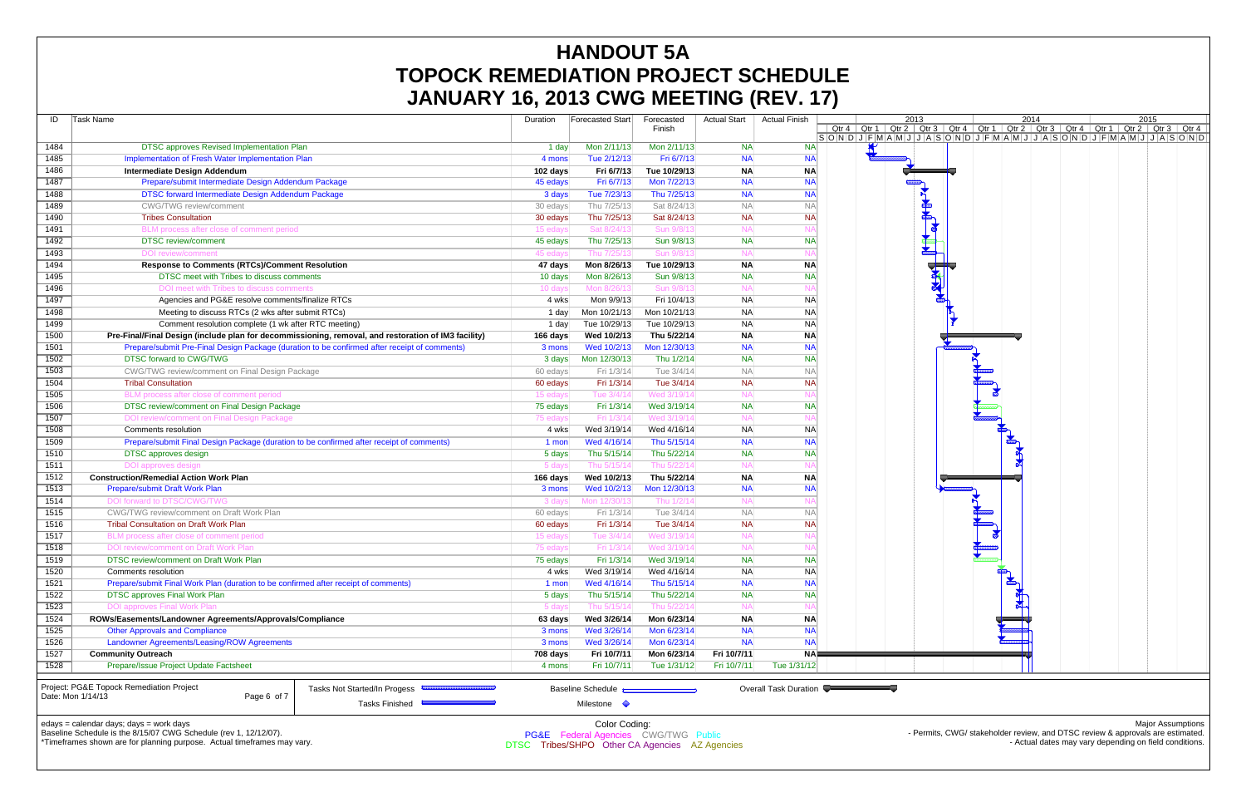| ID   | Task Name                                                                                                                                                                            |                              | Duration    | Forecasted Start                                                     | Forecasted<br>Finish | <b>Actual Start</b>    | <b>Actual Finish</b>     | Qtr 4 $\vert$ | Qtr 1 Qtr 2                           |
|------|--------------------------------------------------------------------------------------------------------------------------------------------------------------------------------------|------------------------------|-------------|----------------------------------------------------------------------|----------------------|------------------------|--------------------------|---------------|---------------------------------------|
| 1484 | <b>DTSC approves Revised Implementation Plan</b>                                                                                                                                     |                              | 1 day       | Mon 2/11/13                                                          | Mon 2/11/13          | <b>NA</b>              | <b>NA</b>                |               | $S$ O $N$ $D$ $J$ $F$ $M$ $A$ $M$ $J$ |
| 1485 | Implementation of Fresh Water Implementation Plan                                                                                                                                    |                              | 4 mons      | Tue 2/12/13                                                          | Fri 6/7/13           | <b>NA</b>              | <b>NA</b>                |               |                                       |
| 1486 | <b>Intermediate Design Addendum</b>                                                                                                                                                  |                              | 102 days    | Fri 6/7/13                                                           | Tue 10/29/13         | <b>NA</b>              | <b>NA</b>                |               |                                       |
| 1487 | Prepare/submit Intermediate Design Addendum Package                                                                                                                                  | 45 edays                     | Fri 6/7/13  | Mon 7/22/13                                                          | <b>NA</b>            | <b>NA</b>              |                          |               |                                       |
| 1488 | DTSC forward Intermediate Design Addendum Package                                                                                                                                    | 3 days                       | Tue 7/23/13 | Thu 7/25/13                                                          | <b>NA</b>            | <b>NA</b>              |                          |               |                                       |
| 1489 | <b>CWG/TWG</b> review/comment                                                                                                                                                        |                              | 30 edays    | Thu 7/25/13                                                          | Sat 8/24/13          | <b>NA</b>              | <b>NA</b>                |               |                                       |
| 1490 | <b>Tribes Consultation</b>                                                                                                                                                           |                              | 30 edays    | Thu 7/25/13                                                          | Sat 8/24/13          | <b>NA</b>              | <b>NA</b>                |               |                                       |
| 1491 | BLM process after close of comment period                                                                                                                                            |                              | 15 edays    | Sat 8/24/13                                                          | Sun 9/8/1            | $N_A$                  | $N_A$                    |               |                                       |
| 1492 | <b>DTSC</b> review/comment                                                                                                                                                           |                              | 45 edays    | Thu 7/25/13                                                          | Sun 9/8/13           | <b>NA</b>              | <b>NA</b>                |               |                                       |
| 1493 | <b>DOI</b> review/comment                                                                                                                                                            |                              | 45 edays    | Thu 7/25/13                                                          | Sun 9/8/1            | <b>NA</b>              | $N_A$                    |               |                                       |
| 1494 | <b>Response to Comments (RTCs)/Comment Resolution</b>                                                                                                                                |                              | 47 days     | Mon 8/26/13                                                          | Tue 10/29/13         | <b>NA</b>              | <b>NA</b>                |               |                                       |
| 1495 | DTSC meet with Tribes to discuss comments                                                                                                                                            |                              | 10 days     | Mon 8/26/13                                                          | Sun 9/8/13           | <b>NA</b>              | <b>NA</b>                |               |                                       |
| 1496 | DOI meet with Tribes to discuss comments                                                                                                                                             |                              | 10 days     | Mon 8/26/13                                                          | Sun 9/8/13           | <b>NA</b>              | NA                       |               |                                       |
| 1497 | Agencies and PG&E resolve comments/finalize RTCs                                                                                                                                     |                              | 4 wks       | Mon 9/9/13                                                           | Fri 10/4/13          | <b>NA</b>              | <b>NA</b>                |               |                                       |
| 1498 | Meeting to discuss RTCs (2 wks after submit RTCs)                                                                                                                                    |                              | 1 day       | Mon 10/21/13                                                         | Mon 10/21/13         | <b>NA</b>              | <b>NA</b>                |               |                                       |
| 1499 | Comment resolution complete (1 wk after RTC meeting)                                                                                                                                 |                              | 1 day       | Tue 10/29/13                                                         | Tue 10/29/13         | <b>NA</b>              | <b>NA</b>                |               |                                       |
| 1500 |                                                                                                                                                                                      |                              |             |                                                                      |                      |                        |                          |               |                                       |
| 1501 | Pre-Final/Final Design (include plan for decommissioning, removal, and restoration of IM3 facility)                                                                                  |                              | 166 days    | Wed 10/2/13                                                          | Thu 5/22/14          | <b>NA</b>              | <b>NA</b><br><b>NA</b>   |               |                                       |
|      | Prepare/submit Pre-Final Design Package (duration to be confirmed after receipt of comments)                                                                                         |                              | 3 mons      | Wed 10/2/13                                                          | Mon 12/30/13         | <b>NA</b><br><b>NA</b> | <b>NA</b>                |               |                                       |
| 1502 | DTSC forward to CWG/TWG                                                                                                                                                              |                              | 3 days      | Mon 12/30/13                                                         | Thu 1/2/14           |                        |                          |               |                                       |
| 1503 | CWG/TWG review/comment on Final Design Package                                                                                                                                       |                              | 60 edays    | Fri 1/3/14                                                           | Tue 3/4/14           | <b>NA</b>              | <b>NA</b>                |               |                                       |
| 1504 | <b>Tribal Consultation</b>                                                                                                                                                           |                              | 60 edays    | Fri 1/3/14                                                           | Tue 3/4/14           | <b>NA</b>              | <b>NA</b>                |               |                                       |
| 1505 | BLM process after close of comment period                                                                                                                                            |                              | 15 edays    | Tue 3/4/14                                                           | Wed 3/19/14          | <b>NA</b>              | N۶                       |               |                                       |
| 1506 | DTSC review/comment on Final Design Package                                                                                                                                          |                              | 75 edays    | Fri 1/3/14                                                           | Wed 3/19/14          | NA                     | <b>NA</b>                |               |                                       |
| 1507 | DOI review/comment on Final Design Package                                                                                                                                           |                              | 75 edays    | Fri 1/3/14                                                           | Wed 3/19/14          | <b>NA</b>              | NA                       |               |                                       |
| 1508 | Comments resolution                                                                                                                                                                  |                              | 4 wks       | Wed 3/19/14                                                          | Wed 4/16/14          | <b>NA</b>              | <b>NA</b>                |               |                                       |
| 1509 | Prepare/submit Final Design Package (duration to be confirmed after receipt of comments)                                                                                             |                              | 1 mon       | Wed 4/16/14                                                          | Thu 5/15/14          | <b>NA</b>              | <b>NA</b>                |               |                                       |
| 1510 | <b>DTSC</b> approves design                                                                                                                                                          |                              | 5 days      | Thu 5/15/14                                                          | Thu 5/22/14          | <b>NA</b>              | <b>NA</b>                |               |                                       |
| 1511 | <b>DOI</b> approves design                                                                                                                                                           |                              | 5 days      | Thu 5/15/14                                                          | Thu 5/22/1           | <b>NA</b>              | N/                       |               |                                       |
| 1512 | <b>Construction/Remedial Action Work Plan</b>                                                                                                                                        |                              | 166 days    | Wed 10/2/13                                                          | Thu 5/22/14          | <b>NA</b>              | <b>NA</b>                |               |                                       |
| 1513 | Prepare/submit Draft Work Plan                                                                                                                                                       |                              | 3 mons      | Wed 10/2/13                                                          | Mon 12/30/13         | <b>NA</b>              | <b>NA</b>                |               |                                       |
| 1514 | DOI forward to DTSC/CWG/TWG                                                                                                                                                          |                              | 3 days      | Mon 12/30/13                                                         | Thu 1/2/1            | <b>NA</b>              | NA                       |               |                                       |
| 1515 | CWG/TWG review/comment on Draft Work Plan                                                                                                                                            |                              | 60 edays    | Fri 1/3/14                                                           | Tue 3/4/14           | <b>NA</b>              | <b>NA</b>                |               |                                       |
| 1516 | <b>Tribal Consultation on Draft Work Plan</b>                                                                                                                                        |                              | 60 edays    | Fri 1/3/14                                                           | Tue 3/4/14           | <b>NA</b>              | <b>NA</b>                |               |                                       |
| 1517 | BLM process after close of comment period                                                                                                                                            |                              | 15 edays    | Tue 3/4/14                                                           | Wed 3/19/1           | NA                     | N/                       |               |                                       |
| 1518 | DOI review/comment on Draft Work Plan                                                                                                                                                |                              | 75 eday     | Fri 1/3/14                                                           | Wed 3/19/14          | $N_A$                  | N                        |               |                                       |
| 1519 | DTSC review/comment on Draft Work Plan                                                                                                                                               |                              | 75 edays    | Fri 1/3/14                                                           | Wed 3/19/14          | <b>NA</b>              | <b>NA</b>                |               |                                       |
| 1520 | Comments resolution                                                                                                                                                                  |                              | 4 wks       | Wed 3/19/14                                                          | Wed 4/16/14          | <b>NA</b>              | <b>NA</b>                |               |                                       |
| 1521 | Prepare/submit Final Work Plan (duration to be confirmed after receipt of comments)                                                                                                  |                              | 1 mon       | Wed 4/16/14                                                          | Thu 5/15/14          | <b>NA</b>              | <b>NA</b>                |               |                                       |
| 1522 | <b>DTSC approves Final Work Plan</b>                                                                                                                                                 |                              | 5 days      | Thu 5/15/14                                                          | Thu 5/22/14          | <b>NA</b>              | <b>NA</b>                |               |                                       |
| 1523 | <b>DOI approves Final Work Plan</b>                                                                                                                                                  |                              | 5 days      | Thu 5/15/14                                                          | Thu 5/22/14          | <b>NA</b>              | NA                       |               |                                       |
| 1524 | ROWs/Easements/Landowner Agreements/Approvals/Compliance                                                                                                                             |                              | 63 days     | Wed 3/26/14                                                          | Mon 6/23/14          | <b>NA</b>              | <b>NA</b>                |               |                                       |
| 1525 | <b>Other Approvals and Compliance</b>                                                                                                                                                |                              | 3 mons      | Wed 3/26/14                                                          | Mon 6/23/14          | <b>NA</b>              | <b>NA</b>                |               |                                       |
| 1526 | Landowner Agreements/Leasing/ROW Agreements                                                                                                                                          |                              | 3 mons      | Wed 3/26/14                                                          | Mon 6/23/14          | <b>NA</b>              | <b>NA</b>                |               |                                       |
| 1527 | <b>Community Outreach</b>                                                                                                                                                            |                              | 708 days    | Fri 10/7/11<br>Fri 10/7/11                                           | Mon 6/23/14          | Fri 10/7/11            | <b>NA</b><br>Tue 1/31/12 |               |                                       |
| 1528 | Prepare/Issue Project Update Factsheet<br>Project: PG&E Topock Remediation Project<br>Page 6 of 7<br>Date: Mon 1/14/13                                                               | Tasks Not Started/In Progess | 4 mons      | <b>Baseline Schedule</b>                                             | Tue 1/31/12          | Fri 10/7/11            | Overall Task Duration    |               |                                       |
|      | edays = calendar days; days = work days<br>Baseline Schedule is the 8/15/07 CWG Schedule (rev 1, 12/12/07).<br>*Timeframes shown are for planning purpose Actual timeframes may vary | <b>Tasks Finished</b>        |             | Milestone <<br>Color Coding:<br>PG&E Federal Agencies CWG/TWG Public |                      |                        |                          |               |                                       |

hown are for planning purpose. Actual timeframes may vary.



# **HANDOUT 5A TOPOCK REMEDIATION PROJECT SCHEDULE JANUARY 16, 2013 CWG MEETING (REV. 17)**

DTSC Tribes/SHPO Other CA Agencies AZ Agencies

Major Assumptions

- Permits, CWG/ stakeholder review, and DTSC review & approvals are estimated. - Actual dates may vary depending on field conditions.